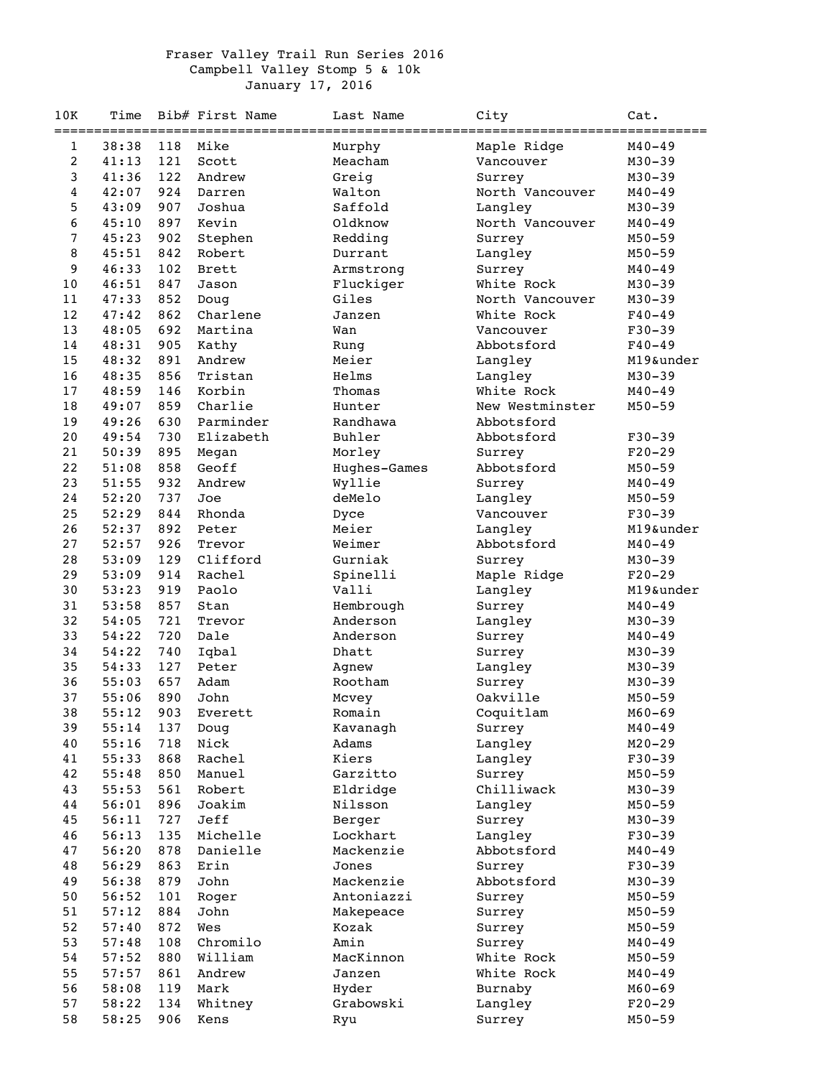## Fraser Valley Trail Run Series 2016 Campbell Valley Stomp 5 & 10k January 17, 2016

| 10K      | Time           |            | Bib# First Name | Last Name           | City<br>=============================== | Cat.                   |
|----------|----------------|------------|-----------------|---------------------|-----------------------------------------|------------------------|
| 1        | 38:38          | 118        | Mike            | Murphy              | Maple Ridge                             | $M40 - 49$             |
| 2        | 41:13          | 121        | Scott           | Meacham             | Vancouver                               | $M30 - 39$             |
| 3        | 41:36          | 122        | Andrew          | Greig               | Surrey                                  | $M30 - 39$             |
| 4        | 42:07          | 924        | Darren          | Walton              | North Vancouver                         | $M40 - 49$             |
| 5        | 43:09          | 907        | Joshua          | Saffold             | Langley                                 | $M30 - 39$             |
| 6        | 45:10          | 897        | Kevin           | Oldknow             | North Vancouver                         | $M40 - 49$             |
| 7        | 45:23          | 902        | Stephen         | Redding             | Surrey                                  | $M50 - 59$             |
| 8        | 45:51          | 842        | Robert          | Durrant             | Langley                                 | $M50 - 59$             |
| 9        | 46:33          | 102        | <b>Brett</b>    | Armstrong           | Surrey                                  | $M40 - 49$             |
| 10       | 46:51          | 847        | Jason           | Fluckiger           | White Rock                              | $M30 - 39$             |
| 11       | 47:33          | 852        | Doug            | Giles               | North Vancouver                         | $M30 - 39$             |
| 12       | 47:42          | 862        | Charlene        | Janzen              | White Rock                              | $F40 - 49$             |
| 13       | 48:05          | 692        | Martina         | Wan                 | Vancouver                               | $F30 - 39$             |
| 14       | 48:31          | 905        | Kathy           | Rung                | Abbotsford                              | $F40 - 49$             |
| 15       | 48:32          | 891        | Andrew          | Meier               | Langley                                 | M19&under              |
| 16       | 48:35          | 856        | Tristan         | Helms               | Langley                                 | $M30 - 39$             |
| 17       | 48:59          | 146        | Korbin          | Thomas              | White Rock                              | $M40 - 49$             |
| 18       | 49:07          | 859        | Charlie         | Hunter              | New Westminster                         | $M50 - 59$             |
| 19       | 49:26          | 630        | Parminder       | Randhawa            | Abbotsford                              |                        |
| 20       | 49:54          | 730        | Elizabeth       | Buhler              | Abbotsford                              | $F30-39$               |
| 21       | 50:39          | 895        | Megan           | Morley              | Surrey                                  | $F20-29$               |
| 22       | 51:08          | 858        | Geoff           | Hughes-Games        | Abbotsford                              | $M50 - 59$             |
| 23       | 51:55          | 932        | Andrew          | Wyllie              | Surrey                                  | $M40 - 49$             |
| 24       | 52:20          | 737        | Joe             | deMelo              | Langley                                 | $M50 - 59$             |
| 25       | 52:29          | 844        | Rhonda          | Dyce                | Vancouver                               | $F30-39$               |
| 26       | 52:37          | 892        | Peter           | Meier               | Langley                                 | M19&under              |
| 27       | 52:57          | 926        | Trevor          | Weimer              | Abbotsford                              | $M40 - 49$             |
| 28       | 53:09          | 129        | Clifford        | Gurniak             | Surrey                                  | $M30 - 39$             |
| 29       | 53:09          | 914        | Rachel          | Spinelli            | Maple Ridge                             | $F20-29$               |
| 30       | 53:23          | 919        | Paolo           | Valli               | Langley                                 | M19&under              |
| 31       | 53:58          | 857        | Stan            | Hembrough           | Surrey                                  | $M40 - 49$             |
| 32       | 54:05          | 721        | Trevor          | Anderson            | Langley                                 | $M30 - 39$             |
| 33       | 54:22          | 720        | Dale            | Anderson            | Surrey                                  | $M40 - 49$             |
| 34       | 54:22          | 740        | Iqbal           | Dhatt               | Surrey                                  | $M30 - 39$             |
| 35       | 54:33          | 127        | Peter           | Agnew               | Langley                                 | $M30 - 39$             |
| 36       | 55:03          | 657        | Adam            | Rootham             | Surrey                                  | $M30 - 39$             |
| 37       | 55:06          | 890        | John            | Mcvey               | Oakville                                | $M50 - 59$             |
| 38       | 55:12          | 903        | Everett         | Romain              | Coquitlam                               | $M60 - 69$             |
| 39       | 55:14          | 137        | Doug            | Kavanagh            | Surrey                                  | $M40 - 49$             |
| 40       | 55:16          | 718        | Nick            | Adams               | Langley                                 | $M20 - 29$             |
| 41       | 55:33          | 868        | Rachel          | Kiers               | Langley                                 | $F30-39$               |
| 42       | 55:48          | 850        | Manuel          | Garzitto            | Surrey                                  | $M50 - 59$             |
| 43       | 55:53<br>56:01 | 561        | Robert          | Eldridge<br>Nilsson | Chilliwack                              | $M30 - 39$             |
| 44<br>45 | 56:11          | 896<br>727 | Joakim<br>Jeff  |                     | Langley<br>Surrey                       | $M50 - 59$             |
| 46       | 56:13          | 135        | Michelle        | Berger<br>Lockhart  | Langley                                 | $M30 - 39$<br>$F30-39$ |
| 47       | 56:20          | 878        | Danielle        | Mackenzie           | Abbotsford                              | $M40 - 49$             |
| 48       | 56:29          | 863        | Erin            | Jones               |                                         | $F30-39$               |
| 49       | 56:38          | 879        | John            | Mackenzie           | Surrey<br>Abbotsford                    | $M30 - 39$             |
| 50       | 56:52          | 101        | Roger           | Antoniazzi          | Surrey                                  | $M50 - 59$             |
| 51       | 57:12          | 884        | John            | Makepeace           | Surrey                                  | $M50 - 59$             |
| 52       | 57:40          | 872        | Wes             | Kozak               | Surrey                                  | $M50 - 59$             |
| 53       | 57:48          | 108        | Chromilo        | Amin                | Surrey                                  | $M40 - 49$             |
| 54       | 57:52          | 880        | William         | MacKinnon           | White Rock                              | $M50 - 59$             |
| 55       | 57:57          | 861        | Andrew          | Janzen              | White Rock                              | $M40 - 49$             |
| 56       | 58:08          | 119        | Mark            | Hyder               | Burnaby                                 | $M60 - 69$             |
| 57       | 58:22          | 134        | Whitney         | Grabowski           | Langley                                 | $F20-29$               |
| 58       | 58:25          | 906        | Kens            | Ryu                 | Surrey                                  | $M50 - 59$             |
|          |                |            |                 |                     |                                         |                        |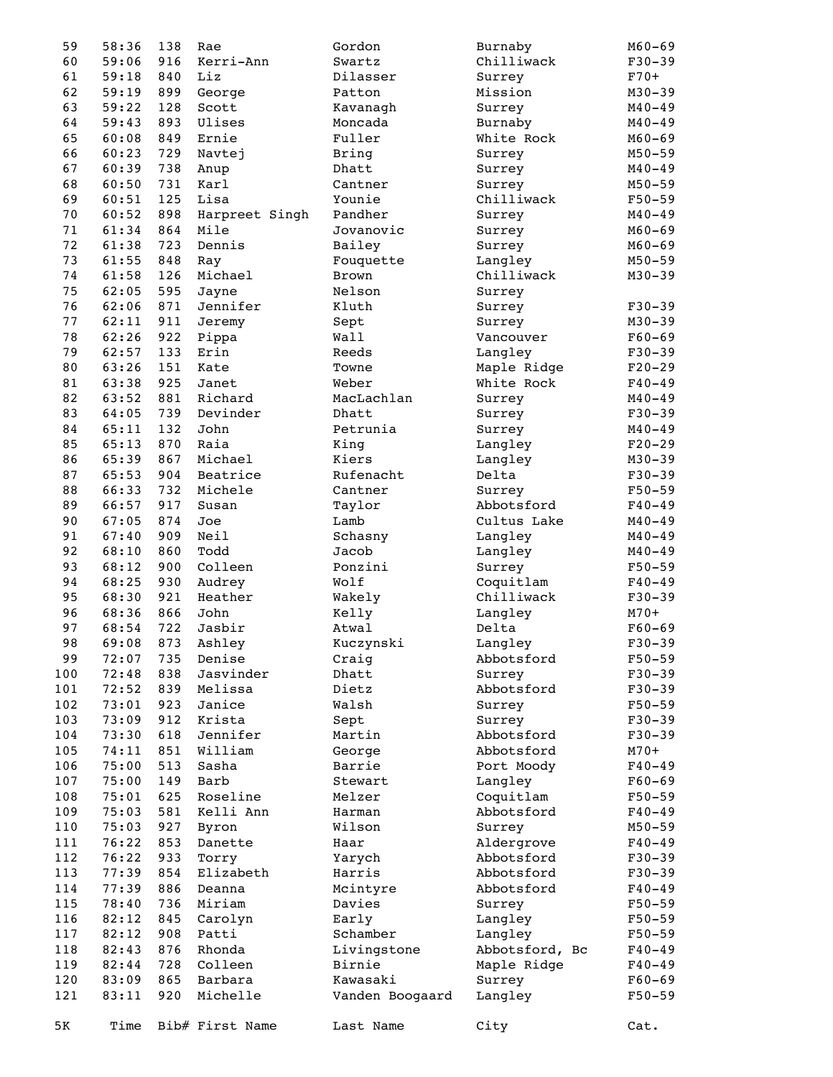| 59       | 58:36          | 138        | Rae             | Gordon          | Burnaby                 | $M60 - 69$           |
|----------|----------------|------------|-----------------|-----------------|-------------------------|----------------------|
| 60       | 59:06          | 916        | Kerri-Ann       | Swartz          | Chilliwack              | $F30-39$             |
| 61       | 59:18          | 840        | Liz             | Dilasser        | Surrey                  | $F70+$               |
| 62       | 59:19          | 899        | George          | Patton          | Mission                 | $M30 - 39$           |
| 63       | 59:22          | 128        | Scott           | Kavanagh        | Surrey                  | $M40 - 49$           |
| 64       | 59:43          | 893        | Ulises          | Moncada         | Burnaby                 | $M40 - 49$           |
| 65       | 60:08          | 849        | Ernie           | Fuller          | White Rock              | $M60 - 69$           |
| 66       | 60:23          | 729        | Navtej          | Bring           | Surrey                  | $M50 - 59$           |
| 67       | 60:39          | 738        | Anup            | Dhatt           | Surrey                  | $M40 - 49$           |
| 68       | 60:50          | 731        | Karl            | Cantner         | Surrey                  | $M50 - 59$           |
| 69       | 60:51          | 125        | Lisa            | Younie          | Chilliwack              | $F50 - 59$           |
| 70       | 60:52          | 898        | Harpreet Singh  | Pandher         | Surrey                  | $M40 - 49$           |
| 71       | 61:34          | 864        | Mile            | Jovanovic       | Surrey                  | $M60 - 69$           |
| 72       | 61:38          | 723        | Dennis          | Bailey          | Surrey                  | $M60 - 69$           |
| 73       | 61:55          | 848        | Ray             | Fouquette       | Langley                 | $M50 - 59$           |
| 74       | 61:58          | 126        | Michael         | <b>Brown</b>    | Chilliwack              | $M30 - 39$           |
| 75       | 62:05          | 595        | Jayne           | Nelson          | Surrey                  |                      |
| 76       | 62:06          | 871        | Jennifer        | Kluth           | Surrey                  | $F30-39$             |
| 77       | 62:11          | 911        | Jeremy          | Sept            | Surrey                  | $M30 - 39$           |
| 78       | 62:26          | 922        | Pippa           | Wall            | Vancouver               | $F60 - 69$           |
| 79       | 62:57          | 133        | Erin            | Reeds           | Langley                 | $F30-39$             |
| 80       | 63:26          | 151        | Kate            | Towne           | Maple Ridge             | $F20-29$             |
| 81       | 63:38          | 925        | Janet           | Weber           | White Rock              | $F40 - 49$           |
| 82       | 63:52          | 881        | Richard         | MacLachlan      | Surrey                  | $M40 - 49$           |
| 83       | 64:05          | 739        | Devinder        | Dhatt           | Surrey                  | $F30-39$             |
| 84       | 65:11          | 132        | John            | Petrunia        | Surrey                  | $M40 - 49$           |
| 85       | 65:13          | 870        | Raia            | King            | Langley                 | $F20-29$             |
| 86       | 65:39          | 867        | Michael         | Kiers           | Langley                 | $M30 - 39$           |
| 87       | 65:53          | 904        | Beatrice        | Rufenacht       | Delta                   | $F30 - 39$           |
| 88       | 66:33          | 732        | Michele         | Cantner         | Surrey                  | $F50 - 59$           |
| 89       | 66:57          | 917        | Susan           | Taylor          | Abbotsford              | $F40 - 49$           |
| 90       | 67:05          | 874        | Joe             | Lamb            | Cultus Lake             | $M40 - 49$           |
| 91       | 67:40          | 909        | Neil            | Schasny         | Langley                 | $M40 - 49$           |
| 92       | 68:10          | 860        | Todd            | Jacob           | Langley                 | $M40 - 49$           |
| 93       | 68:12          | 900        | Colleen         | Ponzini<br>Wolf | Surrey                  | $F50 - 59$           |
| 94       | 68:25          | 930        | Audrey          |                 | Coquitlam<br>Chilliwack | $F40 - 49$           |
| 95<br>96 | 68:30<br>68:36 | 921<br>866 | Heather<br>John | Wakely          |                         | $F30 - 39$<br>$M70+$ |
| 97       | 68:54          | 722        | Jasbir          | Kelly<br>Atwal  | Langley<br>Delta        | $F60 - 69$           |
| 98       | 69:08          | 873        | Ashley          | Kuczynski       | Langley                 | $F30 - 39$           |
| 99       | 72:07          | 735        | Denise          | Craig           | Abbotsford              | $F50 - 59$           |
| 100      | 72:48          | 838        | Jasvinder       | Dhatt           | Surrey                  | $F30-39$             |
| 101      | 72:52          | 839        | Melissa         | Dietz           | Abbotsford              | $F30-39$             |
| 102      | 73:01          | 923        | Janice          | Walsh           | Surrey                  | $F50 - 59$           |
| 103      | 73:09          | 912        | Krista          | Sept            | Surrey                  | $F30-39$             |
| 104      | 73:30          | 618        | Jennifer        | Martin          | Abbotsford              | $F30-39$             |
| 105      | 74:11          | 851        | William         | George          | Abbotsford              | $M70+$               |
| 106      | 75:00          | 513        | Sasha           | Barrie          | Port Moody              | $F40 - 49$           |
| 107      | 75:00          | 149        | Barb            | Stewart         | Langley                 | $F60 - 69$           |
| 108      | 75:01          | 625        | Roseline        | Melzer          | Coquitlam               | $F50 - 59$           |
| 109      | 75:03          | 581        | Kelli Ann       | Harman          | Abbotsford              | $F40 - 49$           |
| 110      | 75:03          | 927        | Byron           | Wilson          | Surrey                  | $M50 - 59$           |
| 111      | 76:22          | 853        | Danette         | Haar            | Aldergrove              | $F40 - 49$           |
| 112      | 76:22          | 933        | Torry           | Yarych          | Abbotsford              | $F30-39$             |
| 113      | 77:39          | 854        | Elizabeth       | Harris          | Abbotsford              | $F30-39$             |
| 114      | 77:39          | 886        | Deanna          | Mcintyre        | Abbotsford              | $F40 - 49$           |
| 115      | 78:40          | 736        | Miriam          | Davies          | Surrey                  | $F50 - 59$           |
| 116      | 82:12          | 845        | Carolyn         | Early           | Langley                 | $F50 - 59$           |
| 117      | 82:12          | 908        | Patti           | Schamber        | Langley                 | $F50 - 59$           |
| 118      | 82:43          | 876        | Rhonda          | Livingstone     | Abbotsford, Bc          | $F40 - 49$           |
| 119      | 82:44          | 728        | Colleen         | Birnie          | Maple Ridge             | $F40 - 49$           |
| 120      | 83:09          | 865        | Barbara         | Kawasaki        | Surrey                  | $F60 - 69$           |
| 121      | 83:11          | 920        | Michelle        | Vanden Boogaard | Langley                 | F50-59               |
|          |                |            |                 |                 |                         |                      |
| 5K       | Time           |            | Bib# First Name | Last Name       | City                    | Cat.                 |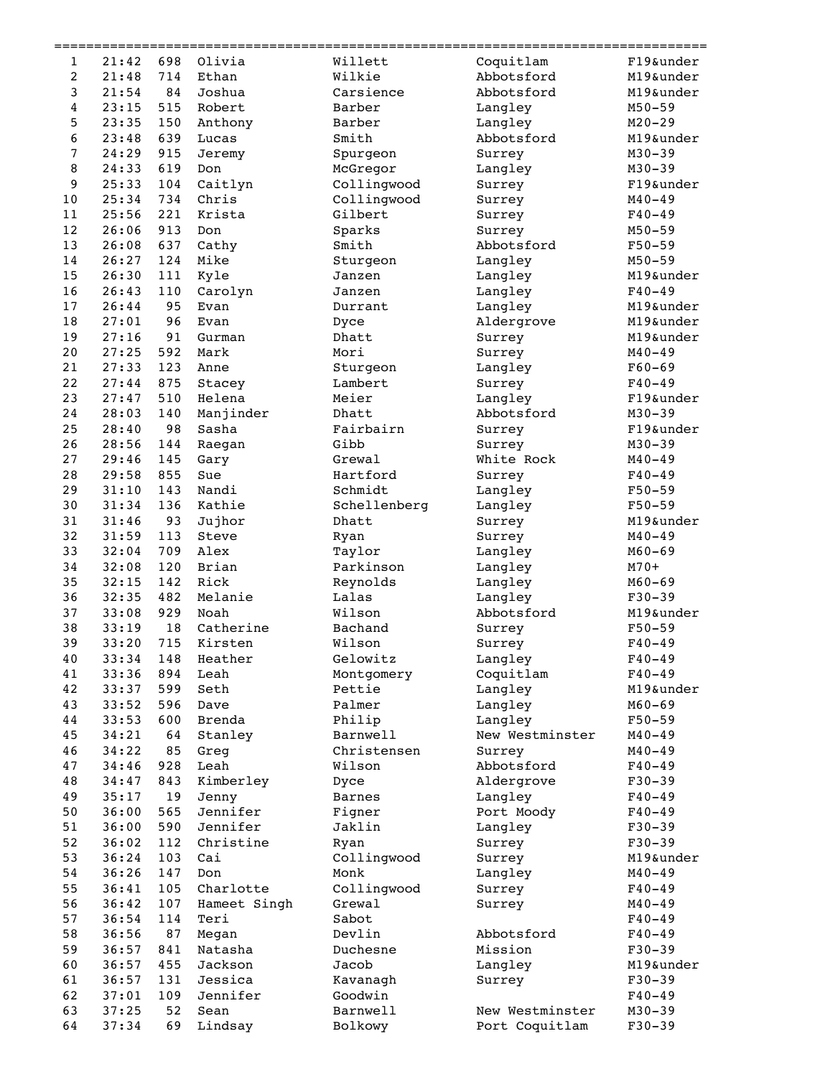|                |                |           | ==================================== | __________________ | ------------------------------- |                         |
|----------------|----------------|-----------|--------------------------------------|--------------------|---------------------------------|-------------------------|
| 1              | 21:42          | 698       | Olivia                               | Willett            | Coquitlam                       | F19&under               |
| $\overline{c}$ | 21:48          | 714       | Ethan                                | Wilkie             | Abbotsford                      | M19&under               |
| 3              | 21:54          | 84        | Joshua                               | Carsience          | Abbotsford                      | M19&under               |
| 4              | 23:15          | 515       | Robert                               | Barber             | Langley                         | $M50 - 59$              |
| 5              | 23:35          | 150       | Anthony                              | Barber             | Langley                         | $M20 - 29$              |
| 6              | 23:48          | 639       | Lucas                                | Smith              | Abbotsford                      | M19&under               |
| 7              | 24:29          | 915       | Jeremy                               | Spurgeon           | Surrey                          | $M30 - 39$              |
| 8              | 24:33          | 619       | Don                                  | McGregor           | Langley                         | $M30 - 39$              |
| 9              | 25:33          | 104       | Caitlyn                              | Collingwood        | Surrey                          | F19&under               |
| 10             | 25:34          | 734       | Chris                                | Collingwood        | Surrey                          | $M40 - 49$              |
| 11             | 25:56          | 221       | Krista                               | Gilbert            | Surrey                          | $F40 - 49$              |
| 12             | 26:06          | 913       | Don                                  | Sparks             | Surrey                          | $M50 - 59$              |
| 13             | 26:08          | 637       | Cathy                                | Smith              | Abbotsford                      | $F50 - 59$              |
| 14             | 26:27          | 124       | Mike                                 | Sturgeon           | Langley                         | $M50 - 59$              |
| 15             | 26:30          | 111       | Kyle                                 | Janzen             | Langley                         | M19&under               |
| 16             | 26:43          | 110       | Carolyn                              | Janzen             | Langley                         | $F40 - 49$              |
| 17             | 26:44          | 95        | Evan                                 | Durrant            | Langley                         | M19&under               |
| 18             | 27:01          | 96        | Evan                                 | Dyce               | Aldergrove                      | M19&under               |
| 19             | 27:16          | 91        | Gurman                               | Dhatt              | Surrey                          | M19&under               |
| 20             | 27:25          | 592       | Mark                                 | Mori               | Surrey                          | $M40 - 49$              |
| 21             | 27:33          | 123       | Anne                                 | Sturgeon           | Langley                         | $F60 - 69$              |
| 22             | 27:44<br>27:47 | 875       | Stacey                               | Lambert<br>Meier   | Surrey                          | $F40 - 49$              |
| 23             |                | 510       | Helena                               |                    | Langley<br>Abbotsford           | F19&under<br>$M30 - 39$ |
| 24<br>25       | 28:03<br>28:40 | 140<br>98 | Manjinder<br>Sasha                   | Dhatt<br>Fairbairn |                                 | F19&under               |
| 26             | 28:56          | 144       |                                      | Gibb               | Surrey<br>Surrey                | $M30 - 39$              |
| 27             | 29:46          | 145       | Raegan                               | Grewal             | White Rock                      | $M40 - 49$              |
| 28             | 29:58          | 855       | Gary<br>Sue                          | Hartford           | Surrey                          | $F40 - 49$              |
| 29             | 31:10          | 143       | Nandi                                | Schmidt            | Langley                         | $F50 - 59$              |
| 30             | 31:34          | 136       | Kathie                               | Schellenberg       | Langley                         | $F50 - 59$              |
| 31             | 31:46          | 93        | Jujhor                               | Dhatt              | Surrey                          | M19&under               |
| 32             | 31:59          | 113       | Steve                                | Ryan               | Surrey                          | $M40 - 49$              |
| 33             | 32:04          | 709       | Alex                                 | Taylor             | Langley                         | $M60 - 69$              |
| 34             | 32:08          | 120       | Brian                                | Parkinson          | Langley                         | $M70+$                  |
| 35             | 32:15          | 142       | Rick                                 | Reynolds           | Langley                         | $M60 - 69$              |
| 36             | 32:35          | 482       | Melanie                              | Lalas              | Langley                         | $F30 - 39$              |
| 37             | 33:08          | 929       | Noah                                 | Wilson             | Abbotsford                      | M19&under               |
| 38             | 33:19          | 18        | Catherine                            | Bachand            | Surrey                          | $F50 - 59$              |
| 39             | 33:20          | 715       | Kirsten                              | Wilson             | Surrey                          | $F40 - 49$              |
| 40             | 33:34          | 148       | Heather                              | Gelowitz           | Langley                         | $F40 - 49$              |
| 41             | 33:36          | 894       | Leah                                 | Montgomery         | Coquitlam                       | $F40 - 49$              |
| 42             | 33:37          | 599       | Seth                                 | Pettie             | Langley                         | M19&under               |
| 43             | 33:52          | 596       | Dave                                 | Palmer             | Langley                         | $M60 - 69$              |
| 44             | 33:53          | 600       | Brenda                               | Philip             | Langley                         | $F50 - 59$              |
| 45             | 34:21          | 64        | Stanley                              | Barnwell           | New Westminster                 | $M40 - 49$              |
| 46             | 34:22          | 85        | Greg                                 | Christensen        | Surrey                          | $M40 - 49$              |
| 47             | 34:46          | 928       | Leah                                 | Wilson             | Abbotsford                      | $F40 - 49$              |
| 48             | 34:47          | 843       | Kimberley                            | Dyce               | Aldergrove                      | $F30-39$                |
| 49             | 35:17          | 19        | Jenny                                | <b>Barnes</b>      | Langley                         | $F40 - 49$              |
| 50             | 36:00          | 565       | Jennifer                             | Figner             | Port Moody                      | $F40 - 49$              |
| 51             | 36:00          | 590       | Jennifer                             | Jaklin             | Langley                         | $F30-39$                |
| 52             | 36:02          | 112       | Christine                            | Ryan               | Surrey                          | $F30-39$                |
| 53             | 36:24          | 103       | Cai                                  | Collingwood        | Surrey                          | M19&under               |
| 54             | 36:26          | 147       | Don                                  | Monk               | Langley                         | $M40 - 49$              |
| 55             | 36:41          | 105       | Charlotte                            | Collingwood        | Surrey                          | $F40 - 49$              |
| 56             | 36:42          | 107       | Hameet Singh                         | Grewal             | Surrey                          | $M40 - 49$              |
| 57             | 36:54          | 114       | Teri                                 | Sabot              |                                 | $F40 - 49$              |
| 58             | 36:56          | 87        | Megan                                | Devlin             | Abbotsford                      | $F40 - 49$              |
| 59             | 36:57          | 841       | Natasha                              | Duchesne           | Mission                         | $F30-39$                |
| 60             | 36:57          | 455       | Jackson                              | Jacob              | Langley                         | M19&under               |
| 61             | 36:57          | 131       | Jessica                              | Kavanagh           | Surrey                          | $F30-39$                |
| 62             | 37:01          | 109       | Jennifer                             | Goodwin            |                                 | $F40 - 49$              |
| 63             | 37:25          | 52        | Sean                                 | Barnwell           | New Westminster                 | $M30 - 39$              |
| 64             | 37:34          | 69        | Lindsay                              | Bolkowy            | Port Coquitlam                  | $F30-39$                |